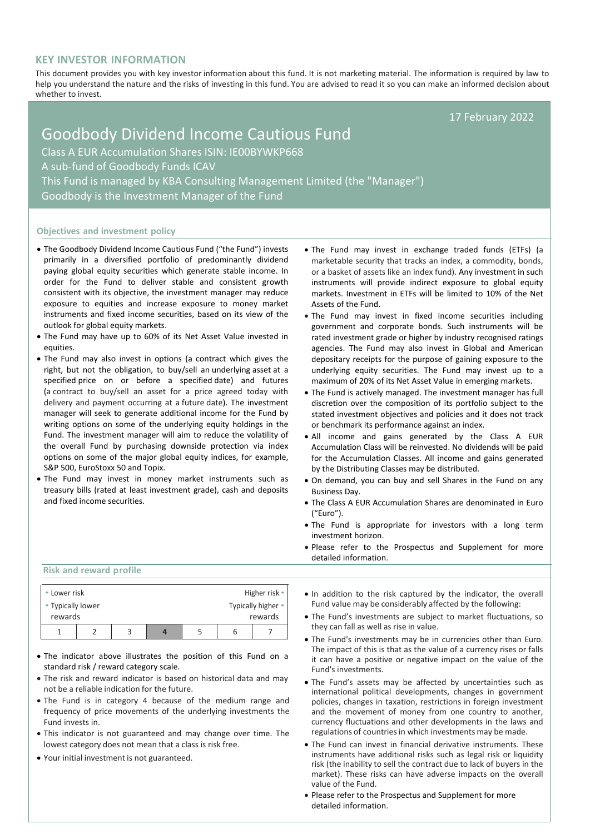# **KEY INVESTOR INFORMATION**

This document provides you with key investor information about this fund. It is not marketing material. The information is required by law to help you understand the nature and the risks of investing in this fund. You are advised to read it so you can make an informed decision about whether to invest.

17 February 2022

# Goodbody Dividend Income Cautious Fund Class A EUR Accumulation Shares ISIN: IE00BYWKP668 A sub-fund of Goodbody Funds ICAV This Fund is managed by KBA Consulting Management Limited (the "Manager") Goodbody is the Investment Manager of the Fund

#### **Objectives and investment policy**

- The Goodbody Dividend Income Cautious Fund ("the Fund") invests primarily in a diversified portfolio of predominantly dividend paying global equity securities which generate stable income. In order for the Fund to deliver stable and consistent growth consistent with its objective, the investment manager may reduce exposure to equities and increase exposure to money market instruments and fixed income securities, based on its view of the outlook for global equity markets.
- The Fund may have up to 60% of its Net Asset Value invested in equities.
- The Fund may also invest in options (a contract which gives the right, but not the obligation, to buy/sell an [underlying](https://en.wikipedia.org/wiki/Underlying) [asset](https://en.wikipedia.org/wiki/Asset) at a specified price on or before a specified [date\)](https://en.wikipedia.org/wiki/Expiration_(options)) and futures (a contract to buy/sell an asset for a price agreed today with delivery and payment occurring at a future date). The investment manager will seek to generate additional income for the Fund by writing options on some of the underlying equity holdings in the Fund. The investment manager will aim to reduce the volatility of the overall Fund by purchasing downside protection via index options on some of the major global equity indices, for example, S&P 500, EuroStoxx 50 and Topix.
- The Fund may invest in money market instruments such as treasury bills (rated at least investment grade), cash and deposits and fixed income securities.
- The Fund may invest in exchange traded funds (ETFs) (a marketable security that tracks an index, a commodity, bonds, or a basket of assets like an index fund). Any investment in such instruments will provide indirect exposure to global equity markets. Investment in ETFs will be limited to 10% of the Net Assets of the Fund.
- The Fund may invest in fixed income securities including government and corporate bonds. Such instruments will be rated investment grade or higher by industry recognised ratings agencies. The Fund may also invest in Global and American depositary receipts for the purpose of gaining exposure to the underlying equity securities. The Fund may invest up to a maximum of 20% of its Net Asset Value in emerging markets.
- The Fund is actively managed. The investment manager has full discretion over the composition of its portfolio subject to the stated investment objectives and policies and it does not track or benchmark its performance against an index.
- All income and gains generated by the Class A EUR Accumulation Class will be reinvested. No dividends will be paid for the Accumulation Classes. All income and gains generated by the Distributing Classes may be distributed.
- On demand, you can buy and sell Shares in the Fund on any Business Day.
- The Class A EUR Accumulation Shares are denominated in Euro ("Euro").
- The Fund is appropriate for investors with a long term investment horizon.
- Please refer to the Prospectus and Supplement for more detailed information.

**Risk and reward profile**

| • Lower risk                 |  |  |  |  |   | Higher risk $\bullet$         |
|------------------------------|--|--|--|--|---|-------------------------------|
| • Typically lower<br>rewards |  |  |  |  |   | Typically higher •<br>rewards |
|                              |  |  |  |  | h |                               |

- The indicator above illustrates the position of this Fund on a standard risk / reward category scale.
- The risk and reward indicator is based on historical data and may not be a reliable indication for the future.
- The Fund is in category 4 because of the medium range and frequency of price movements of the underlying investments the Fund invests in.
- This indicator is not guaranteed and may change over time. The lowest category does not mean that a class is risk free.
- Your initial investment is not guaranteed.
- In addition to the risk captured by the indicator, the overall Fund value may be considerably affected by the following:
- The Fund's investments are subject to market fluctuations, so they can fall as well as rise in value.
- The Fund's investments may be in currencies other than Euro. The impact of this is that as the value of a currency rises or falls it can have a positive or negative impact on the value of the Fund's investments.
- The Fund's assets may be affected by uncertainties such as international political developments, changes in government policies, changes in taxation, restrictions in foreign investment and the movement of money from one country to another, currency fluctuations and other developments in the laws and regulations of countries in which investments may be made.
- The Fund can invest in financial derivative instruments. These instruments have additional risks such as legal risk or liquidity risk (the inability to sell the contract due to lack of buyers in the market). These risks can have adverse impacts on the overall value of the Fund.
- Please refer to the Prospectus and Supplement for more detailed information.